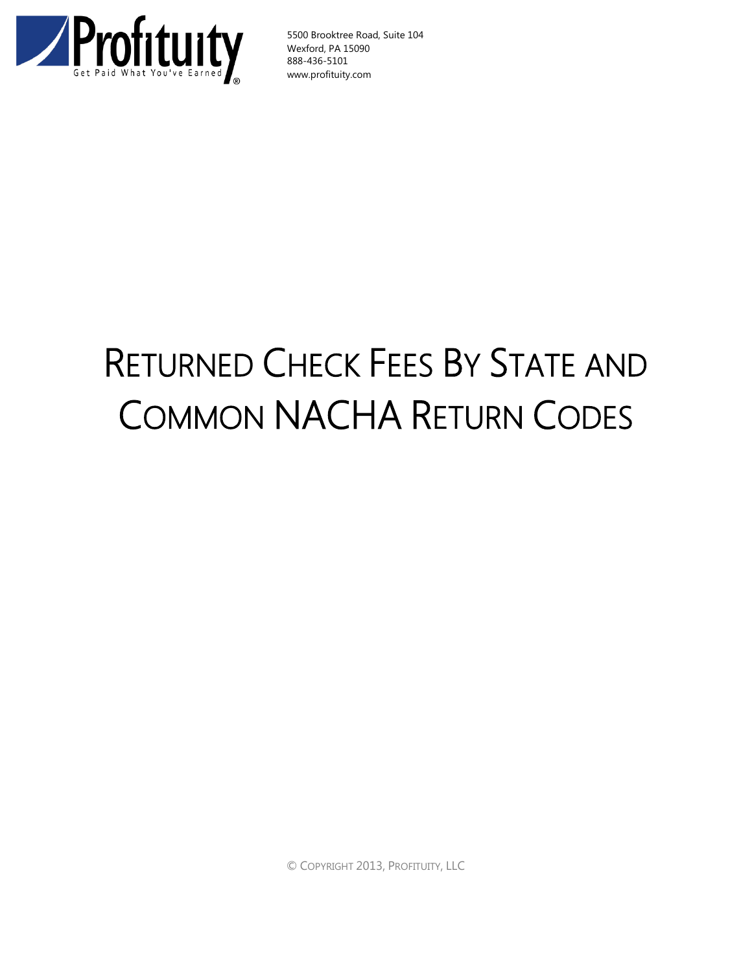

5500 Brooktree Road, Suite 104 Wexford, PA 15090 888-436-5101 www.profituity.com

## RETURNED CHECK FEES BY STATE AND COMMON NACHA RETURN CODES

© COPYRIGHT 2013, PROFITUITY, LLC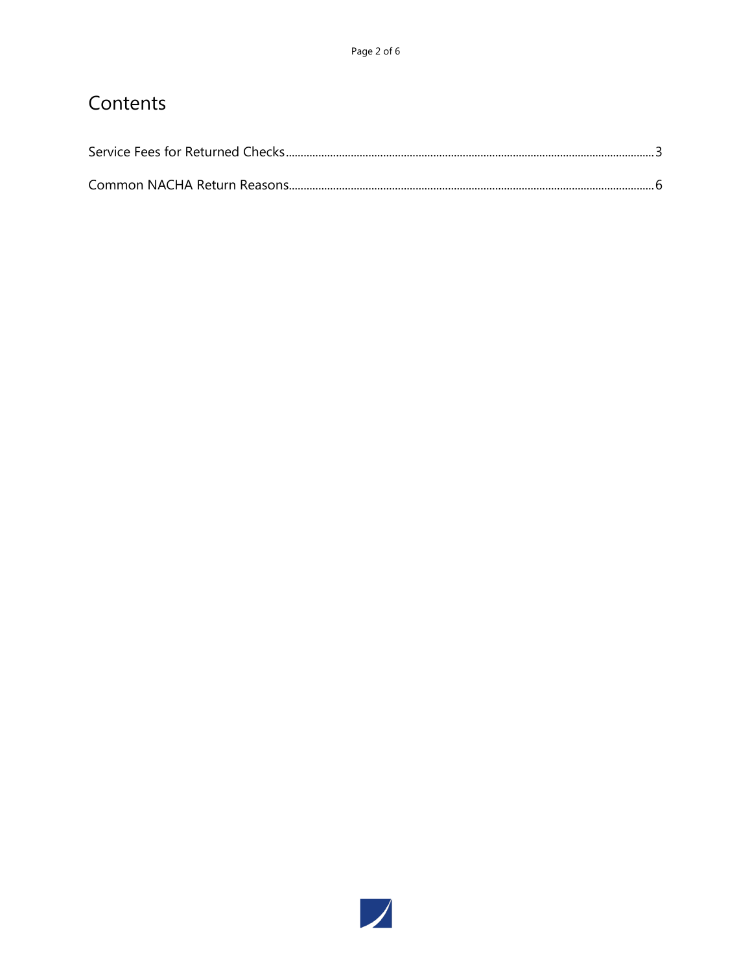## Contents

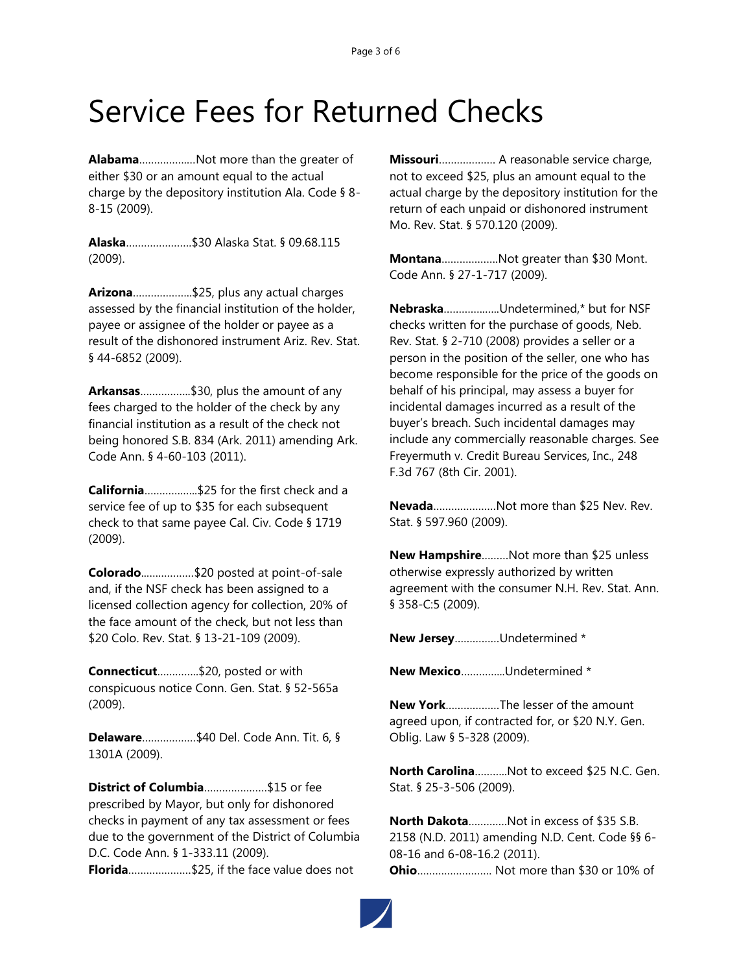## <span id="page-2-0"></span>Service Fees for Returned Checks

**Alabama**…………….…Not more than the greater of either \$30 or an amount equal to the actual charge by the depository institution Ala. Code § 8- 8-15 (2009).

**Alaska**………………….\$30 Alaska Stat. § 09.68.115 (2009).

**Arizona**………………..\$25, plus any actual charges assessed by the financial institution of the holder, payee or assignee of the holder or payee as a result of the dishonored instrument Ariz. Rev. Stat. § 44-6852 (2009).

**Arkansas**……………..\$30, plus the amount of any fees charged to the holder of the check by any financial institution as a result of the check not being honored S.B. 834 (Ark. 2011) amending Ark. Code Ann. § 4-60-103 (2011).

**California**………….…..\$25 for the first check and a service fee of up to \$35 for each subsequent check to that same payee Cal. Civ. Code § 1719 (2009).

**Colorado**..….…………\$20 posted at point-of-sale and, if the NSF check has been assigned to a licensed collection agency for collection, 20% of the face amount of the check, but not less than \$20 Colo. Rev. Stat. § 13-21-109 (2009).

**Connecticut**…………..\$20, posted or with conspicuous notice Conn. Gen. Stat. § 52-565a (2009).

**Delaware**………………\$40 Del. Code Ann. Tit. 6, § 1301A (2009).

**District of Columbia**…………………\$15 or fee prescribed by Mayor, but only for dishonored checks in payment of any tax assessment or fees due to the government of the District of Columbia D.C. Code Ann. § 1-333.11 (2009). **Florida**…………………\$25, if the face value does not

**Missouri**………………. A reasonable service charge, not to exceed \$25, plus an amount equal to the actual charge by the depository institution for the return of each unpaid or dishonored instrument Mo. Rev. Stat. § 570.120 (2009).

**Montana**……………….Not greater than \$30 Mont. Code Ann. § 27-1-717 (2009).

**Nebraska**…………..…..Undetermined,\* but for NSF checks written for the purchase of goods, Neb. Rev. Stat. § 2-710 (2008) provides a seller or a person in the position of the seller, one who has become responsible for the price of the goods on behalf of his principal, may assess a buyer for incidental damages incurred as a result of the buyer's breach. Such incidental damages may include any commercially reasonable charges. See Freyermuth v. Credit Bureau Services, Inc., 248 F.3d 767 (8th Cir. 2001).

**Nevada**…………………Not more than \$25 Nev. Rev. Stat. § 597.960 (2009).

**New Hampshire**………Not more than \$25 unless otherwise expressly authorized by written agreement with the consumer N.H. Rev. Stat. Ann. § 358-C:5 (2009).

**New Jersey**……………Undetermined \*

**New Mexico**…………...Undetermined \*

**New York**………………The lesser of the amount agreed upon, if contracted for, or \$20 N.Y. Gen. Oblig. Law § 5-328 (2009).

**North Carolina**………..Not to exceed \$25 N.C. Gen. Stat. § 25-3-506 (2009).

**North Dakota**………….Not in excess of \$35 S.B. 2158 (N.D. 2011) amending N.D. Cent. Code §§ 6- 08-16 and 6-08-16.2 (2011). **Ohio**……………………. Not more than \$30 or 10% of

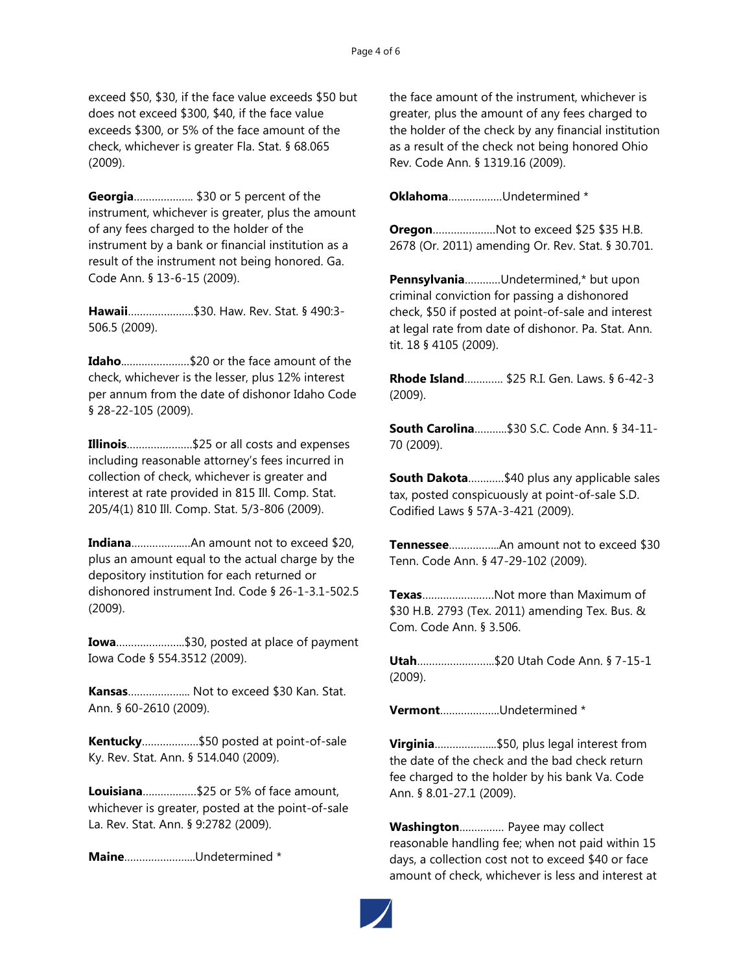exceed \$50, \$30, if the face value exceeds \$50 but does not exceed \$300, \$40, if the face value exceeds \$300, or 5% of the face amount of the check, whichever is greater Fla. Stat. § 68.065 (2009).

**Georgia**……………….. \$30 or 5 percent of the instrument, whichever is greater, plus the amount of any fees charged to the holder of the instrument by a bank or financial institution as a result of the instrument not being honored. Ga. Code Ann. § 13-6-15 (2009).

**Hawaii**………………….\$30. Haw. Rev. Stat. § 490:3- 506.5 (2009).

**Idaho**..…………………\$20 or the face amount of the check, whichever is the lesser, plus 12% interest per annum from the date of dishonor Idaho Code § 28-22-105 (2009).

**Illinois**………………….\$25 or all costs and expenses including reasonable attorney's fees incurred in collection of check, whichever is greater and interest at rate provided in 815 Ill. Comp. Stat. 205/4(1) 810 Ill. Comp. Stat. 5/3-806 (2009).

**Indiana**……………..…An amount not to exceed \$20, plus an amount equal to the actual charge by the depository institution for each returned or dishonored instrument Ind. Code § 26-1-3.1-502.5 (2009).

**Iowa**…………………..\$30, posted at place of payment Iowa Code § 554.3512 (2009).

**Kansas**………………... Not to exceed \$30 Kan. Stat. Ann. § 60-2610 (2009).

**Kentucky**……………….\$50 posted at point-of-sale Ky. Rev. Stat. Ann. § 514.040 (2009).

**Louisiana**………………\$25 or 5% of face amount, whichever is greater, posted at the point-of-sale La. Rev. Stat. Ann. § 9:2782 (2009).

**Maine**…………………...Undetermined \*

the face amount of the instrument, whichever is greater, plus the amount of any fees charged to the holder of the check by any financial institution as a result of the check not being honored Ohio Rev. Code Ann. § 1319.16 (2009).

**Oklahoma**………………Undetermined \*

**Oregon**…………………Not to exceed \$25 \$35 H.B. 2678 (Or. 2011) amending Or. Rev. Stat. § 30.701.

**Pennsylvania**…………Undetermined,\* but upon criminal conviction for passing a dishonored check, \$50 if posted at point-of-sale and interest at legal rate from date of dishonor. Pa. Stat. Ann. tit. 18 § 4105 (2009).

**Rhode Island**…………. \$25 R.I. Gen. Laws. § 6-42-3 (2009).

**South Carolina**………..\$30 S.C. Code Ann. § 34-11- 70 (2009).

**South Dakota**…………\$40 plus any applicable sales tax, posted conspicuously at point-of-sale S.D. Codified Laws § 57A-3-421 (2009).

**Tennessee**……………..An amount not to exceed \$30 Tenn. Code Ann. § 47-29-102 (2009).

**Texas**……………………Not more than Maximum of \$30 H.B. 2793 (Tex. 2011) amending Tex. Bus. & Com. Code Ann. § 3.506.

**Utah**……………………..\$20 Utah Code Ann. § 7-15-1 (2009).

**Vermont**………………..Undetermined \*

**Virginia**………………...\$50, plus legal interest from the date of the check and the bad check return fee charged to the holder by his bank Va. Code Ann. § 8.01-27.1 (2009).

**Washington**…………… Payee may collect reasonable handling fee; when not paid within 15 days, a collection cost not to exceed \$40 or face amount of check, whichever is less and interest at

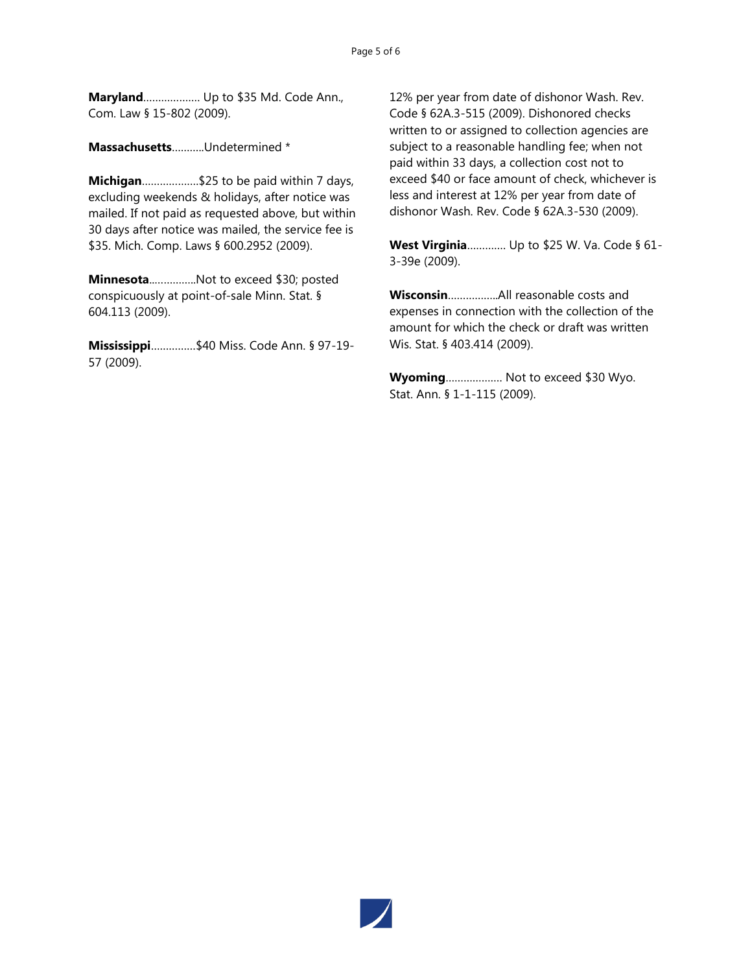**Maryland**………………. Up to \$35 Md. Code Ann., Com. Law § 15-802 (2009).

**Massachusetts**………..Undetermined \*

**Michigan**……………….\$25 to be paid within 7 days, excluding weekends & holidays, after notice was mailed. If not paid as requested above, but within 30 days after notice was mailed, the service fee is \$35. Mich. Comp. Laws § 600.2952 (2009).

**Minnesota**..…………..Not to exceed \$30; posted conspicuously at point-of-sale Minn. Stat. § 604.113 (2009).

**Mississippi**……………\$40 Miss. Code Ann. § 97-19- 57 (2009).

12% per year from date of dishonor Wash. Rev. Code § 62A.3-515 (2009). Dishonored checks written to or assigned to collection agencies are subject to a reasonable handling fee; when not paid within 33 days, a collection cost not to exceed \$40 or face amount of check, whichever is less and interest at 12% per year from date of dishonor Wash. Rev. Code § 62A.3-530 (2009).

**West Virginia**…………. Up to \$25 W. Va. Code § 61- 3-39e (2009).

**Wisconsin**……………..All reasonable costs and expenses in connection with the collection of the amount for which the check or draft was written Wis. Stat. § 403.414 (2009).

**Wyoming**………………. Not to exceed \$30 Wyo. Stat. Ann. § 1-1-115 (2009).